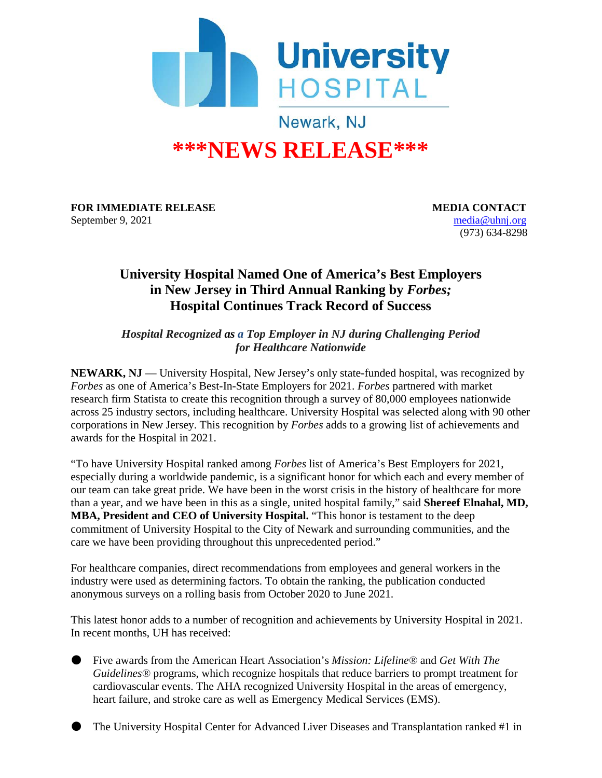

## **\*\*\*NEWS RELEASE\*\*\***

**FOR IMMEDIATE RELEASE MEDIA CONTACT** September 9, 2021 [media@uhnj.org](mailto:media@uhnj.org)

(973) 634-8298

## **University Hospital Named One of America's Best Employers in New Jersey in Third Annual Ranking by** *Forbes;*  **Hospital Continues Track Record of Success**

*Hospital Recognized as a Top Employer in NJ during Challenging Period for Healthcare Nationwide*

NEWARK, NJ — University Hospital, New Jersey's only state-funded hospital, was recognized by *Forbes* as one of America's Best-In-State Employers for 2021. *Forbes* partnered with market research firm Statista to create this recognition through a survey of 80,000 employees nationwide across 25 industry sectors, including healthcare. University Hospital was selected along with 90 other corporations in New Jersey. This recognition by *Forbes* adds to a growing list of achievements and awards for the Hospital in 2021.

"To have University Hospital ranked among *Forbes* list of America's Best Employers for 2021, especially during a worldwide pandemic, is a significant honor for which each and every member of our team can take great pride. We have been in the worst crisis in the history of healthcare for more than a year, and we have been in this as a single, united hospital family," said **Shereef Elnahal, MD, MBA, President and CEO of University Hospital.** "This honor is testament to the deep commitment of University Hospital to the City of Newark and surrounding communities, and the care we have been providing throughout this unprecedented period."

For healthcare companies, direct recommendations from employees and general workers in the industry were used as determining factors. To obtain the ranking, the publication conducted anonymous surveys on a rolling basis from October 2020 to June 2021.

This latest honor adds to a number of recognition and achievements by University Hospital in 2021. In recent months, UH has received:

- Five awards from the American Heart Association's *Mission: Lifeline®* and *Get With The Guidelines®* programs, which recognize hospitals that reduce barriers to prompt treatment for cardiovascular events. The AHA recognized University Hospital in the areas of emergency, heart failure, and stroke care as well as Emergency Medical Services (EMS).
- The University Hospital Center for Advanced Liver Diseases and Transplantation ranked #1 in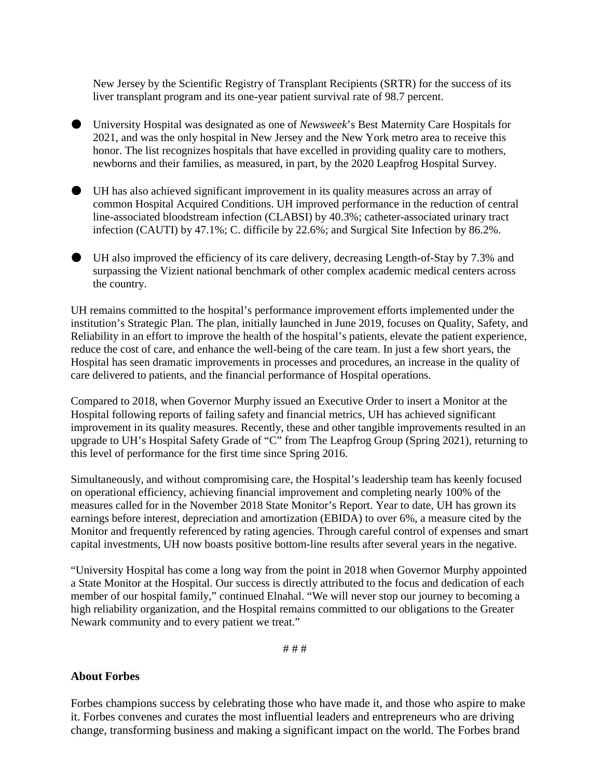New Jersey by the Scientific Registry of Transplant Recipients (SRTR) for the success of its liver transplant program and its one-year patient survival rate of 98.7 percent.

- University Hospital was designated as one of *Newsweek*'s Best Maternity Care Hospitals for 2021, and was the only hospital in New Jersey and the New York metro area to receive this honor. The list recognizes hospitals that have excelled in providing quality care to mothers, newborns and their families, as measured, in part, by the 2020 Leapfrog Hospital Survey.
- UH has also achieved significant improvement in its quality measures across an array of common Hospital Acquired Conditions. UH improved performance in the reduction of central line-associated bloodstream infection (CLABSI) by 40.3%; catheter-associated urinary tract infection (CAUTI) by 47.1%; C. difficile by 22.6%; and Surgical Site Infection by 86.2%.
- UH also improved the efficiency of its care delivery, decreasing Length-of-Stay by 7.3% and surpassing the Vizient national benchmark of other complex academic medical centers across the country.

UH remains committed to the hospital's performance improvement efforts implemented under the institution's Strategic Plan. The plan, initially launched in June 2019, focuses on Quality, Safety, and Reliability in an effort to improve the health of the hospital's patients, elevate the patient experience, reduce the cost of care, and enhance the well-being of the care team. In just a few short years, the Hospital has seen dramatic improvements in processes and procedures, an increase in the quality of care delivered to patients, and the financial performance of Hospital operations.

Compared to 2018, when Governor Murphy issued an Executive Order to insert a Monitor at the Hospital following reports of failing safety and financial metrics, UH has achieved significant improvement in its quality measures. Recently, these and other tangible improvements resulted in an upgrade to UH's Hospital Safety Grade of "C" from The Leapfrog Group (Spring 2021), returning to this level of performance for the first time since Spring 2016.

Simultaneously, and without compromising care, the Hospital's leadership team has keenly focused on operational efficiency, achieving financial improvement and completing nearly 100% of the measures called for in the November 2018 State Monitor's Report. Year to date, UH has grown its earnings before interest, depreciation and amortization (EBIDA) to over 6%, a measure cited by the Monitor and frequently referenced by rating agencies. Through careful control of expenses and smart capital investments, UH now boasts positive bottom-line results after several years in the negative.

"University Hospital has come a long way from the point in 2018 when Governor Murphy appointed a State Monitor at the Hospital. Our success is directly attributed to the focus and dedication of each member of our hospital family," continued Elnahal. "We will never stop our journey to becoming a high reliability organization, and the Hospital remains committed to our obligations to the Greater Newark community and to every patient we treat."

# # #

## **About Forbes**

Forbes champions success by celebrating those who have made it, and those who aspire to make it. Forbes convenes and curates the most influential leaders and entrepreneurs who are driving change, transforming business and making a significant impact on the world. The Forbes brand